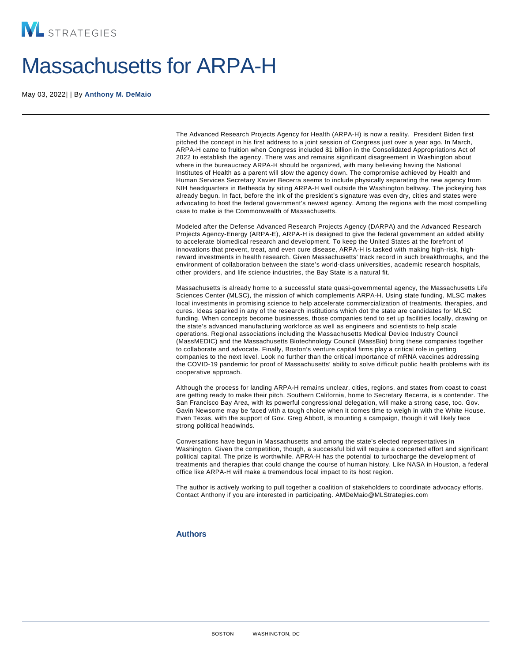## Massachusetts for ARPA-H

May 03, 2022| | By [Anthony M. DeMaio](/our-people/anthony-m-demaio)

The Advanced Research Projects Agency for Health (ARPA-H) is now a reality. President Biden first pitched the concept in his first address to a joint session of Congress just over a year ago. In March, ARPA-H came to fruition when Congress included \$1 billion in the Consolidated Appropriations Act of 2022 to establish the agency. There was and remains significant disagreement in Washington about where in the bureaucracy ARPA-H should be organized, with many believing having the National Institutes of Health as a parent will slow the agency down. The compromise achieved by Health and Human Services Secretary Xavier Becerra seems to include physically separating the new agency from NIH headquarters in Bethesda by siting ARPA-H well outside the Washington beltway. The jockeying has already begun. In fact, before the ink of the president's signature was even dry, cities and states were advocating to host the federal government's newest agency. Among the regions with the most compelling case to make is the Commonwealth of Massachusetts.

Modeled after the Defense Advanced Research Projects Agency (DARPA) and the Advanced Research Projects Agency-Energy (ARPA-E), ARPA-H is designed to give the federal government an added ability to accelerate biomedical research and development. To keep the United States at the forefront of innovations that prevent, treat, and even cure disease, ARPA-H is tasked with making high-risk, highreward investments in health research. Given Massachusetts' track record in such breakthroughs, and the environment of collaboration between the state's world-class universities, academic research hospitals, other providers, and life science industries, the Bay State is a natural fit.

Massachusetts is already home to a successful state quasi-governmental agency, the Massachusetts Life Sciences Center (MLSC), the mission of which complements ARPA-H. Using state funding, MLSC makes local investments in promising science to help accelerate commercialization of treatments, therapies, and cures. Ideas sparked in any of the research institutions which dot the state are candidates for MLSC funding. When concepts become businesses, those companies tend to set up facilities locally, drawing on the state's advanced manufacturing workforce as well as engineers and scientists to help scale operations. Regional associations including the Massachusetts Medical Device Industry Council (MassMEDIC) and the Massachusetts Biotechnology Council (MassBio) bring these companies together to collaborate and advocate. Finally, Boston's venture capital firms play a critical role in getting companies to the next level. Look no further than the critical importance of mRNA vaccines addressing the COVID-19 pandemic for proof of Massachusetts' ability to solve difficult public health problems with its cooperative approach.

Although the process for landing ARPA-H remains unclear, cities, regions, and states from coast to coast are getting ready to make their pitch. Southern California, home to Secretary Becerra, is a contender. The San Francisco Bay Area, with its powerful congressional delegation, will make a strong case, too. Gov. Gavin Newsome may be faced with a tough choice when it comes time to weigh in with the White House. Even Texas, with the support of Gov. Greg Abbott, is mounting a campaign, though it will likely face strong political headwinds.

Conversations have begun in Massachusetts and among the state's elected representatives in Washington. Given the competition, though, a successful bid will require a concerted effort and significant political capital. The prize is worthwhile. APRA-H has the potential to turbocharge the development of treatments and therapies that could change the course of human history. Like NASA in Houston, a federal office like ARPA-H will make a tremendous local impact to its host region.

The author is actively working to pull together a coalition of stakeholders to coordinate advocacy efforts. Contact Anthony if you are interested in participating. AMDeMaio@MLStrategies.com

## Authors